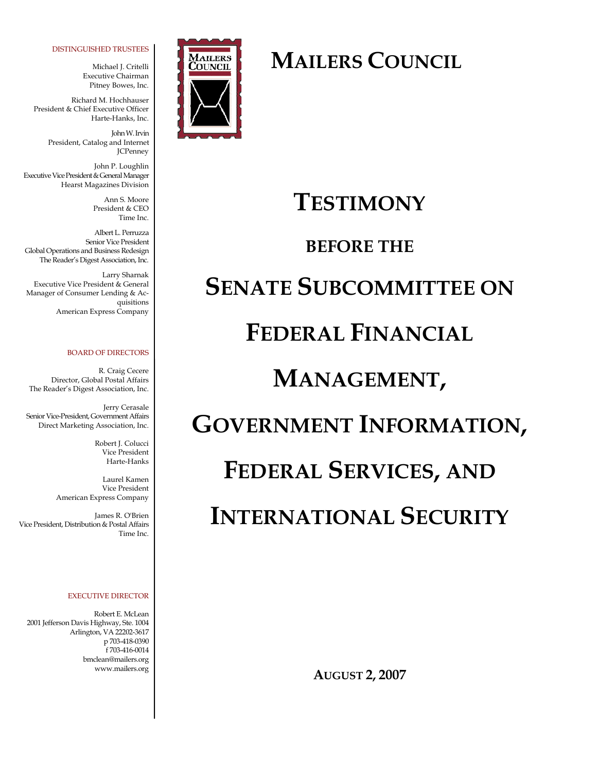#### DISTINGUISHED TRUSTEES

Michael J. Critelli Executive Chairman Pitney Bowes, Inc.

Richard M. Hochhauser President & Chief Executive Officer Harte-Hanks, Inc.

> John W. Irvin President, Catalog and Internet JCPenney

John P. Loughlin Executive Vice President & General Manager Hearst Magazines Division

> Ann S. Moore President & CEO Time Inc.

Albert L. Perruzza Senior Vice President Global Operations and Business Redesign The Reader's Digest Association, Inc.

Larry Sharnak Executive Vice President & General Manager of Consumer Lending & Acquisitions American Express Company

#### BOARD OF DIRECTORS

R. Craig Cecere Director, Global Postal Affairs The Reader's Digest Association, Inc.

Jerry Cerasale Senior Vice-President, Government Affairs Direct Marketing Association, Inc.

> Robert J. Colucci Vice President Harte-Hanks

Laurel Kamen Vice President American Express Company

James R. O'Brien Vice President, Distribution & Postal Affairs Time Inc.

#### EXECUTIVE DIRECTOR

Robert E. McLean 2001 Jefferson Davis Highway, Ste. 1004 Arlington, VA 22202-3617 p 703-418-0390 f 703-416-0014 bmclean@mailers.org www.mailers.org



### **MAILERS COUNCIL**

### **TESTIMONY**

### **BEFORE THE**

# **SENATE SUBCOMMITTEE ON**

## **FEDERAL FINANCIAL**

### **MANAGEMENT,**

# **GOVERNMENT INFORMATION,**

### **FEDERAL SERVICES, AND**

# **INTERNATIONAL SECURITY**

**AUGUST 2, 2007**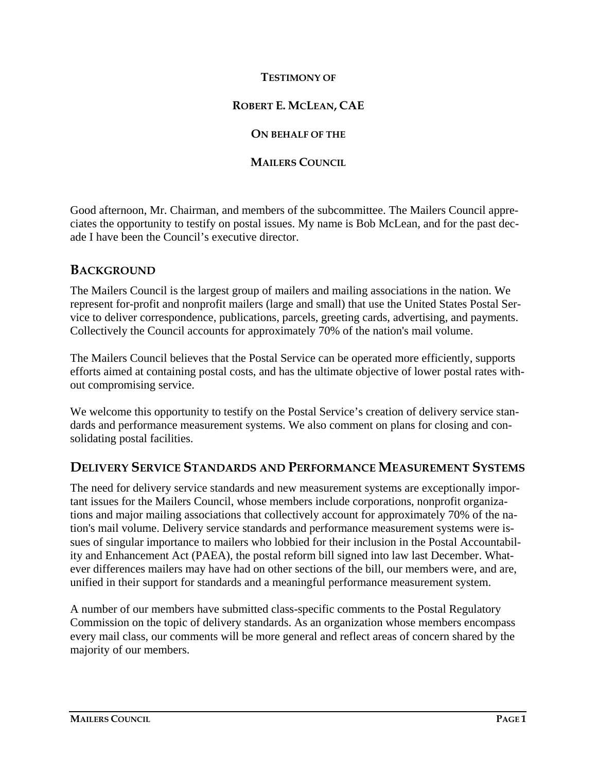#### **TESTIMONY OF**

#### **ROBERT E. MCLEAN, CAE**

#### **ON BEHALF OF THE**

#### **MAILERS COUNCIL**

Good afternoon, Mr. Chairman, and members of the subcommittee. The Mailers Council appreciates the opportunity to testify on postal issues. My name is Bob McLean, and for the past decade I have been the Council's executive director.

### **BACKGROUND**

The Mailers Council is the largest group of mailers and mailing associations in the nation. We represent for-profit and nonprofit mailers (large and small) that use the United States Postal Service to deliver correspondence, publications, parcels, greeting cards, advertising, and payments. Collectively the Council accounts for approximately 70% of the nation's mail volume.

The Mailers Council believes that the Postal Service can be operated more efficiently, supports efforts aimed at containing postal costs, and has the ultimate objective of lower postal rates without compromising service.

We welcome this opportunity to testify on the Postal Service's creation of delivery service standards and performance measurement systems. We also comment on plans for closing and consolidating postal facilities.

#### **DELIVERY SERVICE STANDARDS AND PERFORMANCE MEASUREMENT SYSTEMS**

The need for delivery service standards and new measurement systems are exceptionally important issues for the Mailers Council, whose members include corporations, nonprofit organizations and major mailing associations that collectively account for approximately 70% of the nation's mail volume. Delivery service standards and performance measurement systems were issues of singular importance to mailers who lobbied for their inclusion in the Postal Accountability and Enhancement Act (PAEA), the postal reform bill signed into law last December. Whatever differences mailers may have had on other sections of the bill, our members were, and are, unified in their support for standards and a meaningful performance measurement system.

A number of our members have submitted class-specific comments to the Postal Regulatory Commission on the topic of delivery standards. As an organization whose members encompass every mail class, our comments will be more general and reflect areas of concern shared by the majority of our members.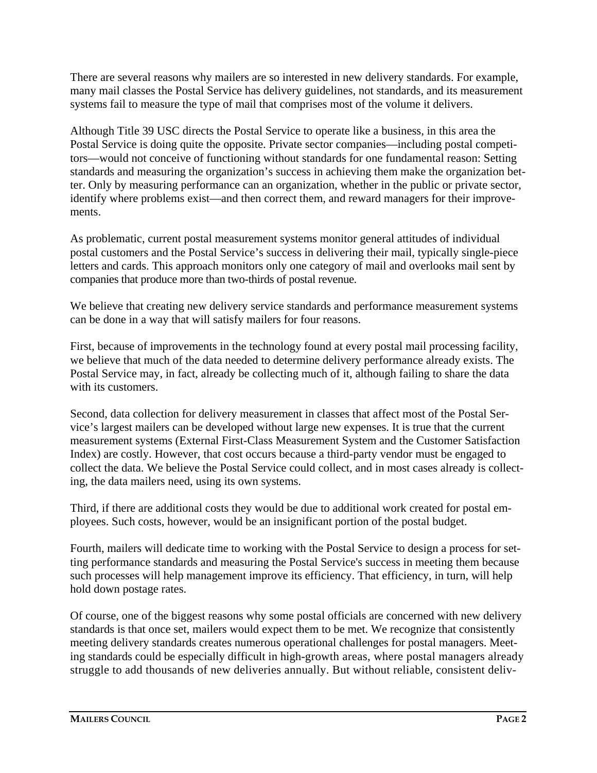There are several reasons why mailers are so interested in new delivery standards. For example, many mail classes the Postal Service has delivery guidelines, not standards, and its measurement systems fail to measure the type of mail that comprises most of the volume it delivers.

Although Title 39 USC directs the Postal Service to operate like a business, in this area the Postal Service is doing quite the opposite. Private sector companies—including postal competitors—would not conceive of functioning without standards for one fundamental reason: Setting standards and measuring the organization's success in achieving them make the organization better. Only by measuring performance can an organization, whether in the public or private sector, identify where problems exist—and then correct them, and reward managers for their improvements.

As problematic, current postal measurement systems monitor general attitudes of individual postal customers and the Postal Service's success in delivering their mail, typically single-piece letters and cards. This approach monitors only one category of mail and overlooks mail sent by companies that produce more than two-thirds of postal revenue.

We believe that creating new delivery service standards and performance measurement systems can be done in a way that will satisfy mailers for four reasons.

First, because of improvements in the technology found at every postal mail processing facility, we believe that much of the data needed to determine delivery performance already exists. The Postal Service may, in fact, already be collecting much of it, although failing to share the data with its customers.

Second, data collection for delivery measurement in classes that affect most of the Postal Service's largest mailers can be developed without large new expenses. It is true that the current measurement systems (External First-Class Measurement System and the Customer Satisfaction Index) are costly. However, that cost occurs because a third-party vendor must be engaged to collect the data. We believe the Postal Service could collect, and in most cases already is collecting, the data mailers need, using its own systems.

Third, if there are additional costs they would be due to additional work created for postal employees. Such costs, however, would be an insignificant portion of the postal budget.

Fourth, mailers will dedicate time to working with the Postal Service to design a process for setting performance standards and measuring the Postal Service's success in meeting them because such processes will help management improve its efficiency. That efficiency, in turn, will help hold down postage rates.

Of course, one of the biggest reasons why some postal officials are concerned with new delivery standards is that once set, mailers would expect them to be met. We recognize that consistently meeting delivery standards creates numerous operational challenges for postal managers. Meeting standards could be especially difficult in high-growth areas, where postal managers already struggle to add thousands of new deliveries annually. But without reliable, consistent deliv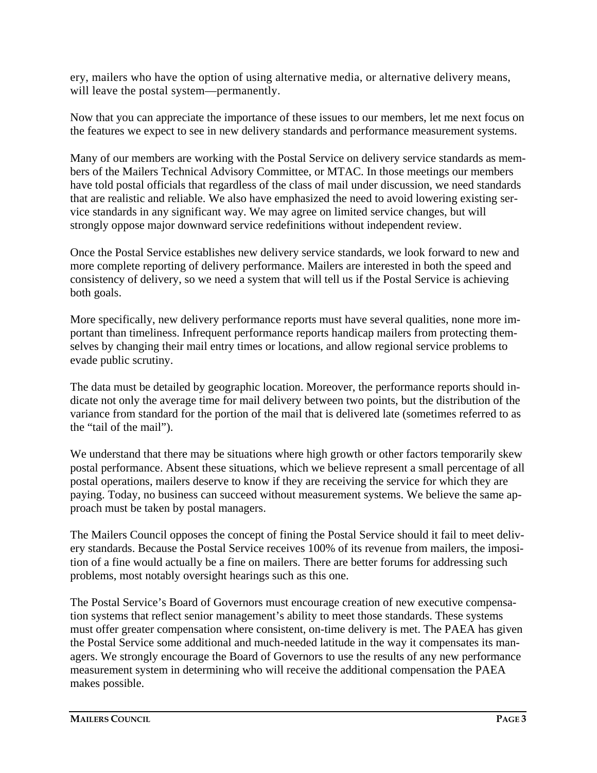ery, mailers who have the option of using alternative media, or alternative delivery means, will leave the postal system—permanently.

Now that you can appreciate the importance of these issues to our members, let me next focus on the features we expect to see in new delivery standards and performance measurement systems.

Many of our members are working with the Postal Service on delivery service standards as members of the Mailers Technical Advisory Committee, or MTAC. In those meetings our members have told postal officials that regardless of the class of mail under discussion, we need standards that are realistic and reliable. We also have emphasized the need to avoid lowering existing service standards in any significant way. We may agree on limited service changes, but will strongly oppose major downward service redefinitions without independent review.

Once the Postal Service establishes new delivery service standards, we look forward to new and more complete reporting of delivery performance. Mailers are interested in both the speed and consistency of delivery, so we need a system that will tell us if the Postal Service is achieving both goals.

More specifically, new delivery performance reports must have several qualities, none more important than timeliness. Infrequent performance reports handicap mailers from protecting themselves by changing their mail entry times or locations, and allow regional service problems to evade public scrutiny.

The data must be detailed by geographic location. Moreover, the performance reports should indicate not only the average time for mail delivery between two points, but the distribution of the variance from standard for the portion of the mail that is delivered late (sometimes referred to as the "tail of the mail").

We understand that there may be situations where high growth or other factors temporarily skew postal performance. Absent these situations, which we believe represent a small percentage of all postal operations, mailers deserve to know if they are receiving the service for which they are paying. Today, no business can succeed without measurement systems. We believe the same approach must be taken by postal managers.

The Mailers Council opposes the concept of fining the Postal Service should it fail to meet delivery standards. Because the Postal Service receives 100% of its revenue from mailers, the imposition of a fine would actually be a fine on mailers. There are better forums for addressing such problems, most notably oversight hearings such as this one.

The Postal Service's Board of Governors must encourage creation of new executive compensation systems that reflect senior management's ability to meet those standards. These systems must offer greater compensation where consistent, on-time delivery is met. The PAEA has given the Postal Service some additional and much-needed latitude in the way it compensates its managers. We strongly encourage the Board of Governors to use the results of any new performance measurement system in determining who will receive the additional compensation the PAEA makes possible.